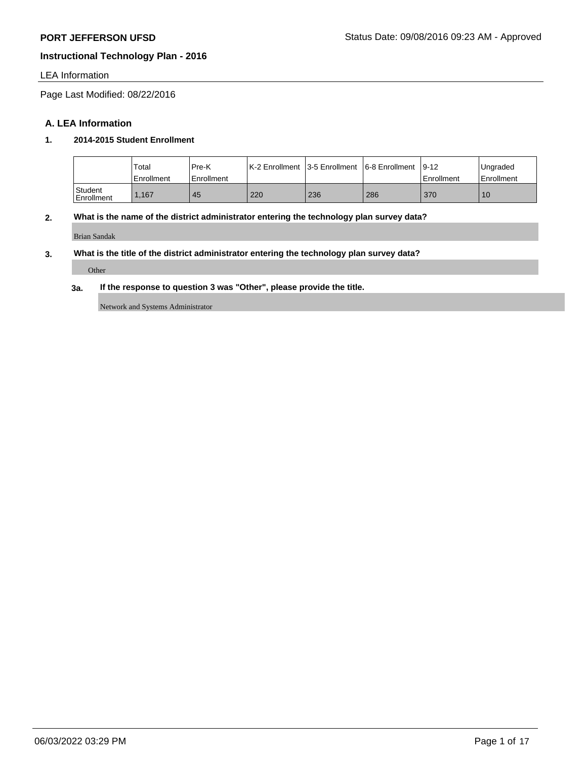## LEA Information

Page Last Modified: 08/22/2016

## **A. LEA Information**

## **1. 2014-2015 Student Enrollment**

|                       | Total<br>Enrollment | Pre-K<br>Enrollment | K-2 Enrollment 13-5 Enrollment |     | 6-8 Enrollment | $19 - 12$<br><sup>1</sup> Enrollment | Ungraded<br>Enrollment |
|-----------------------|---------------------|---------------------|--------------------------------|-----|----------------|--------------------------------------|------------------------|
| Student<br>Enrollment | .167                | 45                  | 220                            | 236 | 286            | 370                                  | 10                     |

# **2. What is the name of the district administrator entering the technology plan survey data?**

Brian Sandak

## **3. What is the title of the district administrator entering the technology plan survey data?**

Other

## **3a. If the response to question 3 was "Other", please provide the title.**

Network and Systems Administrator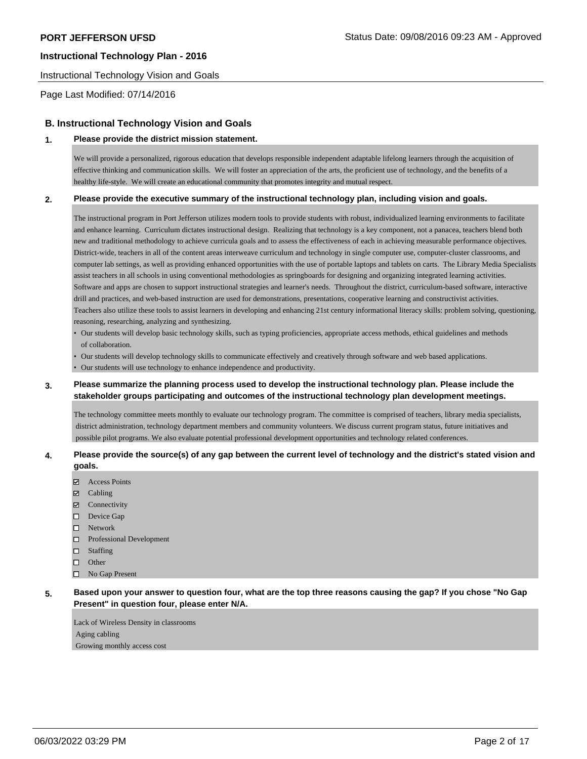#### Instructional Technology Vision and Goals

Page Last Modified: 07/14/2016

## **B. Instructional Technology Vision and Goals**

#### **1. Please provide the district mission statement.**

We will provide a personalized, rigorous education that develops responsible independent adaptable lifelong learners through the acquisition of effective thinking and communication skills. We will foster an appreciation of the arts, the proficient use of technology, and the benefits of a healthy life-style. We will create an educational community that promotes integrity and mutual respect.

#### **2. Please provide the executive summary of the instructional technology plan, including vision and goals.**

The instructional program in Port Jefferson utilizes modern tools to provide students with robust, individualized learning environments to facilitate and enhance learning. Curriculum dictates instructional design. Realizing that technology is a key component, not a panacea, teachers blend both new and traditional methodology to achieve curricula goals and to assess the effectiveness of each in achieving measurable performance objectives. District-wide, teachers in all of the content areas interweave curriculum and technology in single computer use, computer-cluster classrooms, and computer lab settings, as well as providing enhanced opportunities with the use of portable laptops and tablets on carts. The Library Media Specialists assist teachers in all schools in using conventional methodologies as springboards for designing and organizing integrated learning activities. Software and apps are chosen to support instructional strategies and learner's needs. Throughout the district, curriculum-based software, interactive drill and practices, and web-based instruction are used for demonstrations, presentations, cooperative learning and constructivist activities. Teachers also utilize these tools to assist learners in developing and enhancing 21st century informational literacy skills: problem solving, questioning, reasoning, researching, analyzing and synthesizing.

- Our students will develop basic technology skills, such as typing proficiencies, appropriate access methods, ethical guidelines and methods of collaboration.
- Our students will develop technology skills to communicate effectively and creatively through software and web based applications.
- Our students will use technology to enhance independence and productivity.

## **3. Please summarize the planning process used to develop the instructional technology plan. Please include the stakeholder groups participating and outcomes of the instructional technology plan development meetings.**

The technology committee meets monthly to evaluate our technology program. The committee is comprised of teachers, library media specialists, district administration, technology department members and community volunteers. We discuss current program status, future initiatives and possible pilot programs. We also evaluate potential professional development opportunities and technology related conferences.

#### **4. Please provide the source(s) of any gap between the current level of technology and the district's stated vision and goals.**

- Access Points
- Cabling
- Connectivity
- Device Gap
- Network
- $\Box$  Professional Development
- $\square$  Staffing
- $\square$  Other
- □ No Gap Present

## **5. Based upon your answer to question four, what are the top three reasons causing the gap? If you chose "No Gap Present" in question four, please enter N/A.**

Lack of Wireless Density in classrooms Aging cabling Growing monthly access cost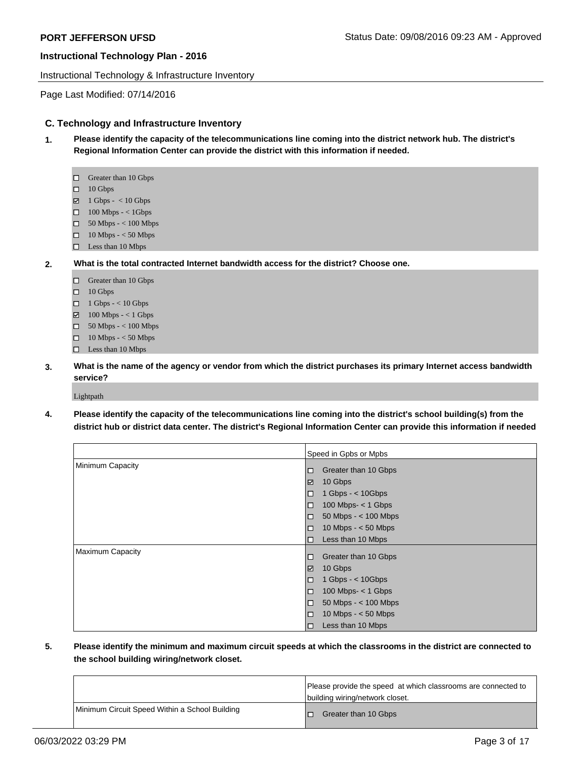Instructional Technology & Infrastructure Inventory

Page Last Modified: 07/14/2016

## **C. Technology and Infrastructure Inventory**

- **1. Please identify the capacity of the telecommunications line coming into the district network hub. The district's Regional Information Center can provide the district with this information if needed.**
	- □ Greater than 10 Gbps
	- $\Box$  10 Gbps
	- $\boxtimes$  1 Gbps < 10 Gbps
	- $\Box$  100 Mbps < 1Gbps
	- 50 Mbps < 100 Mbps
	- 10 Mbps < 50 Mbps
	- □ Less than 10 Mbps
- **2. What is the total contracted Internet bandwidth access for the district? Choose one.**
	- □ Greater than 10 Gbps
	- $\Box$  10 Gbps
	- $\Box$  1 Gbps < 10 Gbps
	- $\boxtimes$  100 Mbps < 1 Gbps
	- 50 Mbps < 100 Mbps
	- $\hfill\Box$  10 Mbps < 50 Mbps
	- $\Box$  Less than 10 Mbps
- **3. What is the name of the agency or vendor from which the district purchases its primary Internet access bandwidth service?**

Lightpath

**4. Please identify the capacity of the telecommunications line coming into the district's school building(s) from the district hub or district data center. The district's Regional Information Center can provide this information if needed**

|                         | Speed in Gpbs or Mpbs            |
|-------------------------|----------------------------------|
| Minimum Capacity        | Greater than 10 Gbps<br>O        |
|                         | 10 Gbps<br>☑                     |
|                         | 1 Gbps - $<$ 10Gbps<br>$\Box$    |
|                         | 100 Mbps- $<$ 1 Gbps<br>$\Box$   |
|                         | 50 Mbps - $<$ 100 Mbps<br>O      |
|                         | 10 Mbps $- < 50$ Mbps<br>$\Box$  |
|                         | Less than 10 Mbps<br>$\Box$      |
| <b>Maximum Capacity</b> | Greater than 10 Gbps<br>□        |
|                         | 10 Gbps<br>☑                     |
|                         | 1 Gbps - $<$ 10 Gbps<br>$\Box$   |
|                         | 100 Mbps- $<$ 1 Gbps<br>$\Box$   |
|                         | 50 Mbps - $<$ 100 Mbps<br>$\Box$ |
|                         | 10 Mbps $- < 50$ Mbps<br>$\Box$  |
|                         | Less than 10 Mbps<br>O           |

**5. Please identify the minimum and maximum circuit speeds at which the classrooms in the district are connected to the school building wiring/network closet.** 

|                                                | Please provide the speed at which classrooms are connected to<br>building wiring/network closet. |
|------------------------------------------------|--------------------------------------------------------------------------------------------------|
| Minimum Circuit Speed Within a School Building | Greater than 10 Gbps                                                                             |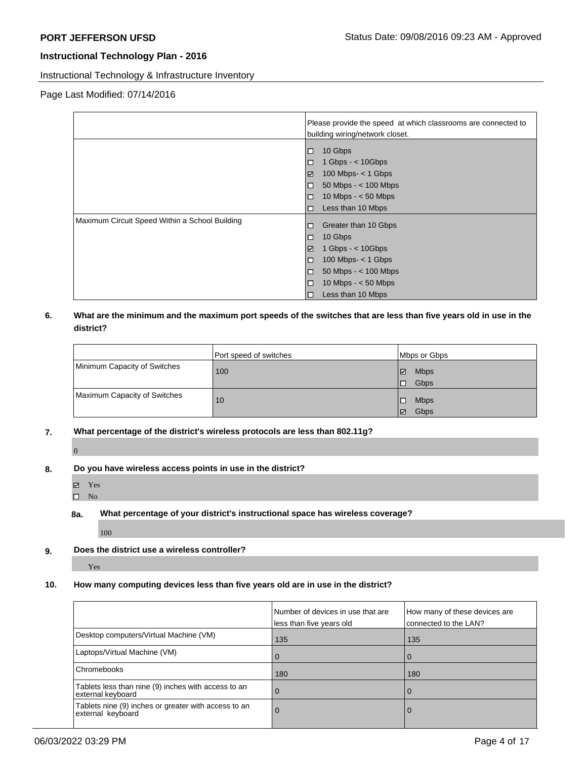Instructional Technology & Infrastructure Inventory

## Page Last Modified: 07/14/2016

|                                                | Please provide the speed at which classrooms are connected to<br>building wiring/network closet.                                                                                                                        |  |
|------------------------------------------------|-------------------------------------------------------------------------------------------------------------------------------------------------------------------------------------------------------------------------|--|
|                                                | 10 Gbps<br>$\Box$<br>1 Gbps $-$ < 10 Gbps<br>$\Box$<br>100 Mbps- $<$ 1 Gbps<br>☑<br>$50$ Mbps $-$ < 100 Mbps<br>$\Box$<br>10 Mbps $- < 50$ Mbps<br>$\Box$<br>Less than 10 Mbps<br>$\Box$                                |  |
| Maximum Circuit Speed Within a School Building | Greater than 10 Gbps<br>$\Box$<br>10 Gbps<br>$\Box$<br>☑<br>1 Gbps $-$ < 10 Gbps<br>$100$ Mbps- $<$ 1 Gbps<br>$\Box$<br>$50$ Mbps $-$ < 100 Mbps<br>$\Box$<br>$\Box$<br>10 Mbps $- < 50$ Mbps<br>Less than 10 Mbps<br>□ |  |

## **6. What are the minimum and the maximum port speeds of the switches that are less than five years old in use in the district?**

|                              | Port speed of switches | Mbps or Gbps      |
|------------------------------|------------------------|-------------------|
| Minimum Capacity of Switches | 100                    | <b>Mbps</b><br>౹⊽ |
|                              |                        | <b>Gbps</b><br>10 |
| Maximum Capacity of Switches | 10                     | <b>Mbps</b>       |
|                              |                        | Gbps<br>∣⊽        |

**7. What percentage of the district's wireless protocols are less than 802.11g?**

## **8. Do you have wireless access points in use in the district?**

Yes

 $\overline{0}$ 

 $\square$  No

#### **8a. What percentage of your district's instructional space has wireless coverage?**

100

**9. Does the district use a wireless controller?**

Yes

# **10. How many computing devices less than five years old are in use in the district?**

|                                                                           | Number of devices in use that are<br>less than five years old | How many of these devices are<br>connected to the LAN? |
|---------------------------------------------------------------------------|---------------------------------------------------------------|--------------------------------------------------------|
| Desktop computers/Virtual Machine (VM)                                    | 135                                                           | 135                                                    |
| Laptops/Virtual Machine (VM)                                              | O                                                             | $\Omega$                                               |
| Chromebooks                                                               | 180                                                           | 180                                                    |
| Tablets less than nine (9) inches with access to an<br>external keyboard  | 0                                                             | 0                                                      |
| Tablets nine (9) inches or greater with access to an<br>external keyboard | O                                                             | 0                                                      |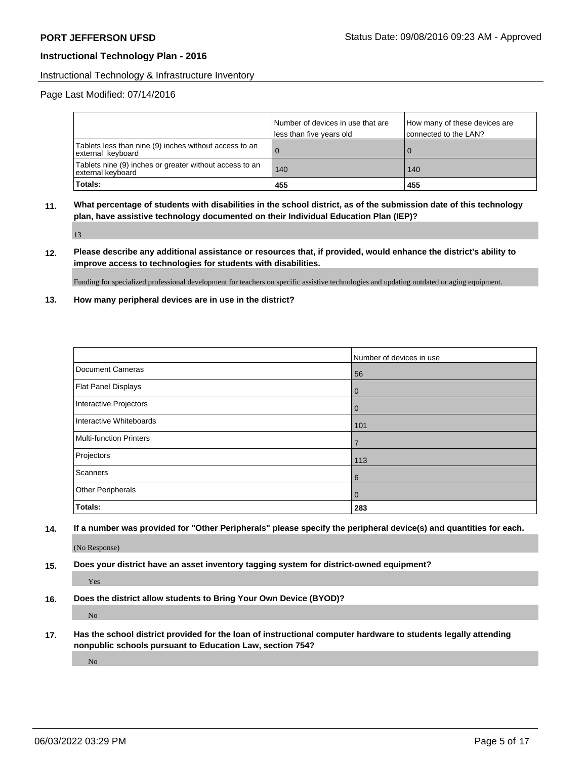#### Instructional Technology & Infrastructure Inventory

## Page Last Modified: 07/14/2016

|                                                                              | Number of devices in use that are<br>less than five years old | How many of these devices are<br>connected to the LAN? |
|------------------------------------------------------------------------------|---------------------------------------------------------------|--------------------------------------------------------|
| Tablets less than nine (9) inches without access to an<br>external keyboard  | $\overline{0}$                                                |                                                        |
| Tablets nine (9) inches or greater without access to an<br>external keyboard | 140                                                           | 140                                                    |
| Totals:                                                                      | 455                                                           | 455                                                    |

**11. What percentage of students with disabilities in the school district, as of the submission date of this technology plan, have assistive technology documented on their Individual Education Plan (IEP)?**

13

**12. Please describe any additional assistance or resources that, if provided, would enhance the district's ability to improve access to technologies for students with disabilities.**

Funding for specialized professional development for teachers on specific assistive technologies and updating outdated or aging equipment.

**13. How many peripheral devices are in use in the district?**

|                                | Number of devices in use |
|--------------------------------|--------------------------|
| Document Cameras               | 56                       |
| Flat Panel Displays            | $\overline{0}$           |
| Interactive Projectors         | $\mathbf{0}$             |
| Interactive Whiteboards        | 101                      |
| <b>Multi-function Printers</b> | 7                        |
| Projectors                     | 113                      |
| Scanners                       | 6                        |
| <b>Other Peripherals</b>       | $\overline{0}$           |
| <b>Totals:</b>                 | 283                      |

**14. If a number was provided for "Other Peripherals" please specify the peripheral device(s) and quantities for each.**

(No Response)

**15. Does your district have an asset inventory tagging system for district-owned equipment?**

Yes

**16. Does the district allow students to Bring Your Own Device (BYOD)?**

No

**17. Has the school district provided for the loan of instructional computer hardware to students legally attending nonpublic schools pursuant to Education Law, section 754?**

No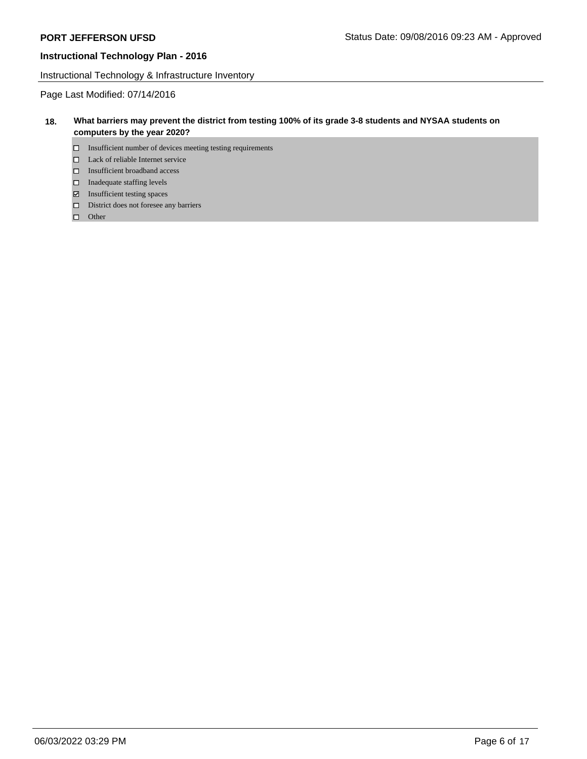Instructional Technology & Infrastructure Inventory

Page Last Modified: 07/14/2016

## **18. What barriers may prevent the district from testing 100% of its grade 3-8 students and NYSAA students on computers by the year 2020?**

- $\square$  Insufficient number of devices meeting testing requirements
- □ Lack of reliable Internet service
- Insufficient broadband access
- $\Box$  Inadequate staffing levels
- Insufficient testing spaces
- District does not foresee any barriers
- $\Box$  Other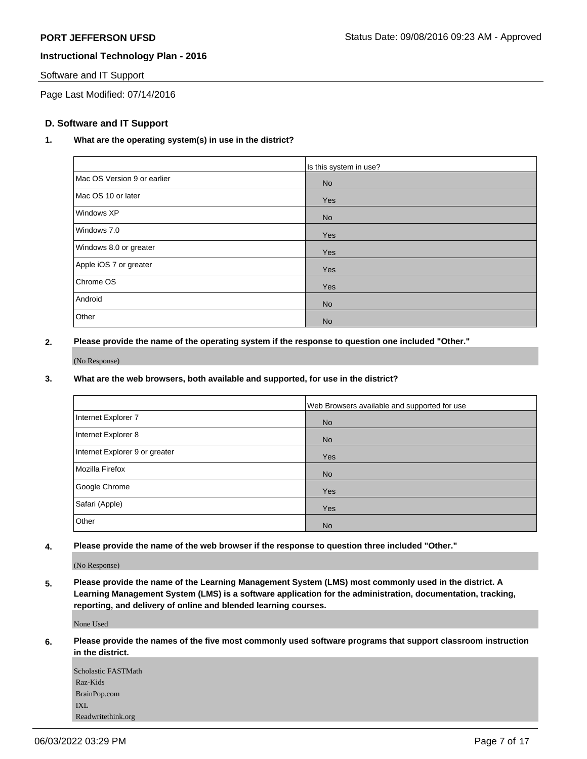## Software and IT Support

Page Last Modified: 07/14/2016

## **D. Software and IT Support**

## **1. What are the operating system(s) in use in the district?**

|                             | Is this system in use? |
|-----------------------------|------------------------|
| Mac OS Version 9 or earlier | <b>No</b>              |
| Mac OS 10 or later          | Yes                    |
| Windows XP                  | <b>No</b>              |
| Windows 7.0                 | Yes                    |
| Windows 8.0 or greater      | Yes                    |
| Apple iOS 7 or greater      | Yes                    |
| Chrome OS                   | Yes                    |
| Android                     | <b>No</b>              |
| Other                       | <b>No</b>              |

## **2. Please provide the name of the operating system if the response to question one included "Other."**

(No Response)

## **3. What are the web browsers, both available and supported, for use in the district?**

|                                | Web Browsers available and supported for use |
|--------------------------------|----------------------------------------------|
| Internet Explorer 7            | <b>No</b>                                    |
| Internet Explorer 8            | <b>No</b>                                    |
| Internet Explorer 9 or greater | <b>Yes</b>                                   |
| Mozilla Firefox                | <b>No</b>                                    |
| Google Chrome                  | <b>Yes</b>                                   |
| Safari (Apple)                 | <b>Yes</b>                                   |
| Other                          | <b>No</b>                                    |

**4. Please provide the name of the web browser if the response to question three included "Other."**

(No Response)

**5. Please provide the name of the Learning Management System (LMS) most commonly used in the district. A Learning Management System (LMS) is a software application for the administration, documentation, tracking, reporting, and delivery of online and blended learning courses.**

None Used

**6. Please provide the names of the five most commonly used software programs that support classroom instruction in the district.**

| Scholastic FASTMath |
|---------------------|
| Raz-Kids            |
| BrainPop.com        |
| IXL                 |
| Readwritethink.org  |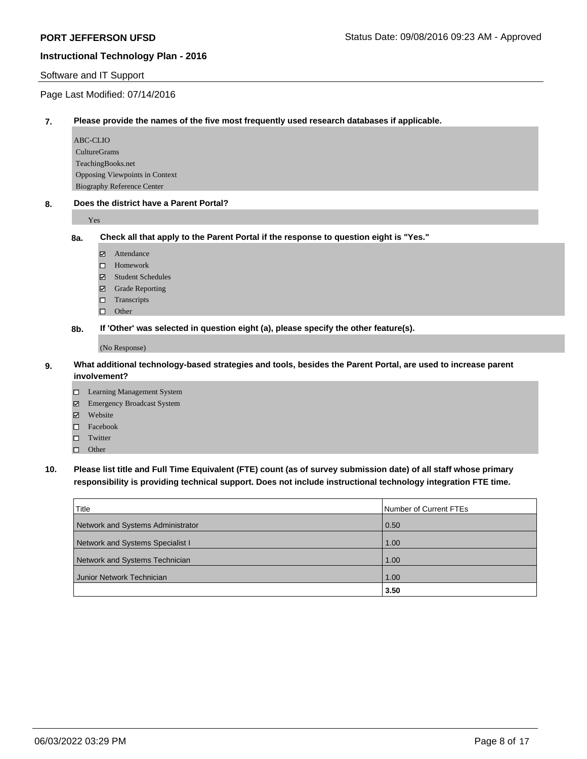#### Software and IT Support

## Page Last Modified: 07/14/2016

#### **7. Please provide the names of the five most frequently used research databases if applicable.**

ABC-CLIO CultureGrams TeachingBooks.net Opposing Viewpoints in Context Biography Reference Center

#### **8. Does the district have a Parent Portal?**

Yes

#### **8a. Check all that apply to the Parent Portal if the response to question eight is "Yes."**

- Attendance
- □ Homework
- Student Schedules
- Grade Reporting
- $\Box$  Transcripts
- $\Box$  Other

**8b. If 'Other' was selected in question eight (a), please specify the other feature(s).**

#### (No Response)

#### **9. What additional technology-based strategies and tools, besides the Parent Portal, are used to increase parent involvement?**

- □ Learning Management System
- Emergency Broadcast System
- Website
- Facebook
- $\square$  Twitter
- □ Other

# **10. Please list title and Full Time Equivalent (FTE) count (as of survey submission date) of all staff whose primary responsibility is providing technical support. Does not include instructional technology integration FTE time.**

| Title                             | Number of Current FTEs |
|-----------------------------------|------------------------|
| Network and Systems Administrator | 0.50                   |
| Network and Systems Specialist I  | 1.00                   |
| Network and Systems Technician    | 1.00                   |
| Junior Network Technician         | 1.00                   |
|                                   | 3.50                   |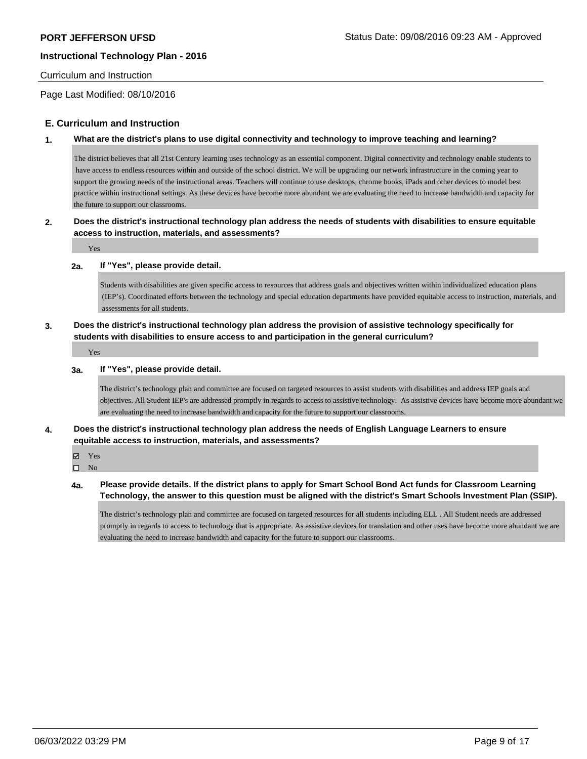#### Curriculum and Instruction

Page Last Modified: 08/10/2016

## **E. Curriculum and Instruction**

#### **1. What are the district's plans to use digital connectivity and technology to improve teaching and learning?**

The district believes that all 21st Century learning uses technology as an essential component. Digital connectivity and technology enable students to have access to endless resources within and outside of the school district. We will be upgrading our network infrastructure in the coming year to support the growing needs of the instructional areas. Teachers will continue to use desktops, chrome books, iPads and other devices to model best practice within instructional settings. As these devices have become more abundant we are evaluating the need to increase bandwidth and capacity for the future to support our classrooms.

## **2. Does the district's instructional technology plan address the needs of students with disabilities to ensure equitable access to instruction, materials, and assessments?**

Yes

#### **2a. If "Yes", please provide detail.**

Students with disabilities are given specific access to resources that address goals and objectives written within individualized education plans (IEP's). Coordinated efforts between the technology and special education departments have provided equitable access to instruction, materials, and assessments for all students.

## **3. Does the district's instructional technology plan address the provision of assistive technology specifically for students with disabilities to ensure access to and participation in the general curriculum?**

Yes

#### **3a. If "Yes", please provide detail.**

The district's technology plan and committee are focused on targeted resources to assist students with disabilities and address IEP goals and objectives. All Student IEP's are addressed promptly in regards to access to assistive technology. As assistive devices have become more abundant we are evaluating the need to increase bandwidth and capacity for the future to support our classrooms.

## **4. Does the district's instructional technology plan address the needs of English Language Learners to ensure equitable access to instruction, materials, and assessments?**

**Ø** Yes

 $\square$  No

## **4a. Please provide details. If the district plans to apply for Smart School Bond Act funds for Classroom Learning Technology, the answer to this question must be aligned with the district's Smart Schools Investment Plan (SSIP).**

The district's technology plan and committee are focused on targeted resources for all students including ELL . All Student needs are addressed promptly in regards to access to technology that is appropriate. As assistive devices for translation and other uses have become more abundant we are evaluating the need to increase bandwidth and capacity for the future to support our classrooms.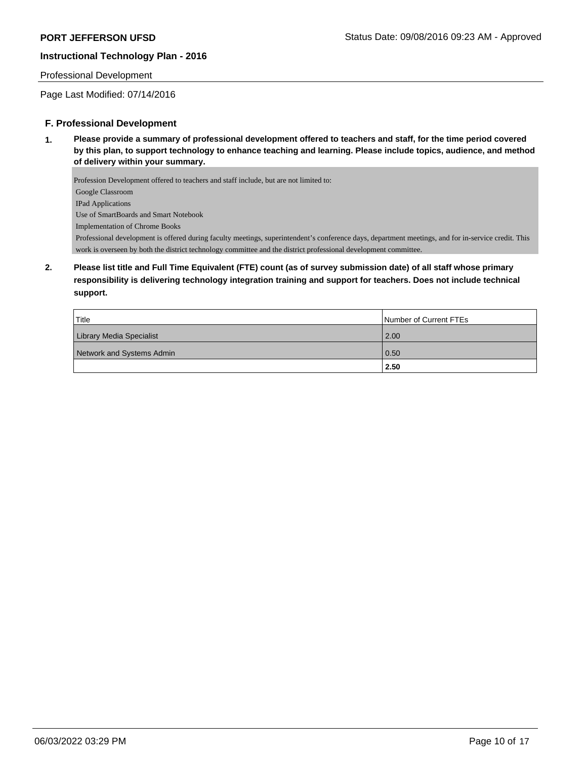## Professional Development

Page Last Modified: 07/14/2016

## **F. Professional Development**

**1. Please provide a summary of professional development offered to teachers and staff, for the time period covered by this plan, to support technology to enhance teaching and learning. Please include topics, audience, and method of delivery within your summary.**

Profession Development offered to teachers and staff include, but are not limited to: Google Classroom IPad Applications Use of SmartBoards and Smart Notebook Implementation of Chrome Books Professional development is offered during faculty meetings, superintendent's conference days, department meetings, and for in-service credit. This work is overseen by both the district technology committee and the district professional development committee.

**2. Please list title and Full Time Equivalent (FTE) count (as of survey submission date) of all staff whose primary responsibility is delivering technology integration training and support for teachers. Does not include technical support.**

| Title                     | Number of Current FTEs |
|---------------------------|------------------------|
| Library Media Specialist  | 2.00                   |
| Network and Systems Admin | $\vert 0.50 \vert$     |
|                           | 2.50                   |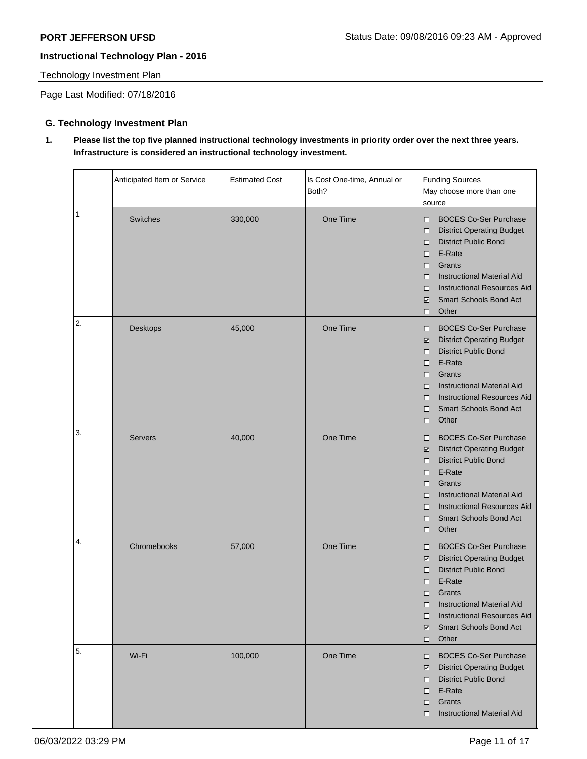Technology Investment Plan

Page Last Modified: 07/18/2016

# **G. Technology Investment Plan**

**1. Please list the top five planned instructional technology investments in priority order over the next three years. Infrastructure is considered an instructional technology investment.** 

|    | Anticipated Item or Service | <b>Estimated Cost</b> | Is Cost One-time, Annual or<br>Both? | <b>Funding Sources</b><br>May choose more than one<br>source                                                                                                                                                                                                                          |
|----|-----------------------------|-----------------------|--------------------------------------|---------------------------------------------------------------------------------------------------------------------------------------------------------------------------------------------------------------------------------------------------------------------------------------|
| 1  | <b>Switches</b>             | 330,000               | One Time                             | <b>BOCES Co-Ser Purchase</b><br>◻<br><b>District Operating Budget</b><br>□<br><b>District Public Bond</b><br>◻<br>E-Rate<br>□<br>Grants<br>□<br><b>Instructional Material Aid</b><br>◻<br><b>Instructional Resources Aid</b><br>◻<br><b>Smart Schools Bond Act</b><br>☑<br>Other<br>□ |
| 2. | Desktops                    | 45,000                | One Time                             | <b>BOCES Co-Ser Purchase</b><br>□<br><b>District Operating Budget</b><br>☑<br><b>District Public Bond</b><br>◻<br>E-Rate<br>□<br>Grants<br>◻<br><b>Instructional Material Aid</b><br>◻<br><b>Instructional Resources Aid</b><br>◻<br><b>Smart Schools Bond Act</b><br>◻<br>Other<br>□ |
| 3. | <b>Servers</b>              | 40,000                | One Time                             | <b>BOCES Co-Ser Purchase</b><br>□<br><b>District Operating Budget</b><br>☑<br><b>District Public Bond</b><br>◻<br>E-Rate<br>□<br>Grants<br>◻<br><b>Instructional Material Aid</b><br>◻<br><b>Instructional Resources Aid</b><br>◻<br>Smart Schools Bond Act<br>◻<br>Other<br>□        |
| 4. | Chromebooks                 | 57,000                | One Time                             | <b>BOCES Co-Ser Purchase</b><br>□<br><b>District Operating Budget</b><br>☑<br><b>District Public Bond</b><br>◻<br>E-Rate<br>◻<br>Grants<br>◻<br><b>Instructional Material Aid</b><br>◻<br><b>Instructional Resources Aid</b><br>◻<br><b>Smart Schools Bond Act</b><br>☑<br>Other<br>□ |
| 5. | Wi-Fi                       | 100,000               | One Time                             | <b>BOCES Co-Ser Purchase</b><br>□<br><b>District Operating Budget</b><br>☑<br><b>District Public Bond</b><br>◻<br>E-Rate<br>□<br>Grants<br>◻<br><b>Instructional Material Aid</b><br>◻                                                                                                |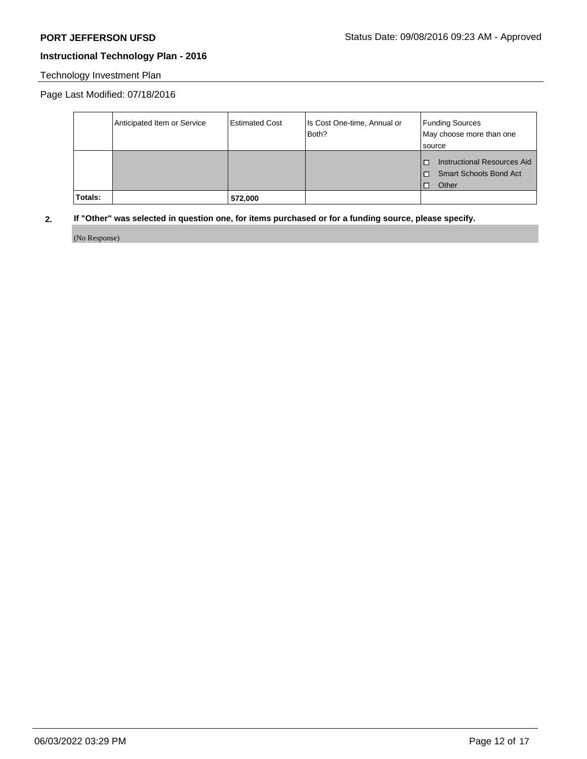# Technology Investment Plan

Page Last Modified: 07/18/2016

|         | Anticipated Item or Service | Estimated Cost | Is Cost One-time, Annual or<br>Both? | <b>Funding Sources</b><br>May choose more than one<br><b>Source</b>             |
|---------|-----------------------------|----------------|--------------------------------------|---------------------------------------------------------------------------------|
|         |                             |                |                                      | Instructional Resources Aid<br>п<br><b>Smart Schools Bond Act</b><br>Other<br>п |
| Totals: |                             | 572,000        |                                      |                                                                                 |

# **2. If "Other" was selected in question one, for items purchased or for a funding source, please specify.**

(No Response)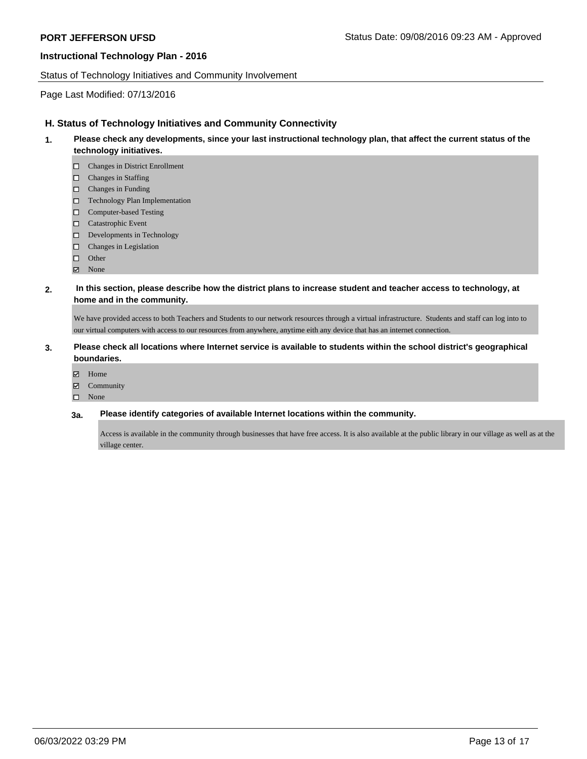#### Status of Technology Initiatives and Community Involvement

## Page Last Modified: 07/13/2016

## **H. Status of Technology Initiatives and Community Connectivity**

- **1. Please check any developments, since your last instructional technology plan, that affect the current status of the technology initiatives.**
	- Changes in District Enrollment
	- Changes in Staffing
	- $\square$  Changes in Funding
	- Technology Plan Implementation
	- □ Computer-based Testing
	- □ Catastrophic Event
	- D Developments in Technology
	- Changes in Legislation
	- □ Other
	- **☑** None

#### **2. In this section, please describe how the district plans to increase student and teacher access to technology, at home and in the community.**

We have provided access to both Teachers and Students to our network resources through a virtual infrastructure. Students and staff can log into to our virtual computers with access to our resources from anywhere, anytime eith any device that has an internet connection.

## **3. Please check all locations where Internet service is available to students within the school district's geographical boundaries.**

- Home
- Community
- None

#### **3a. Please identify categories of available Internet locations within the community.**

Access is available in the community through businesses that have free access. It is also available at the public library in our village as well as at the village center.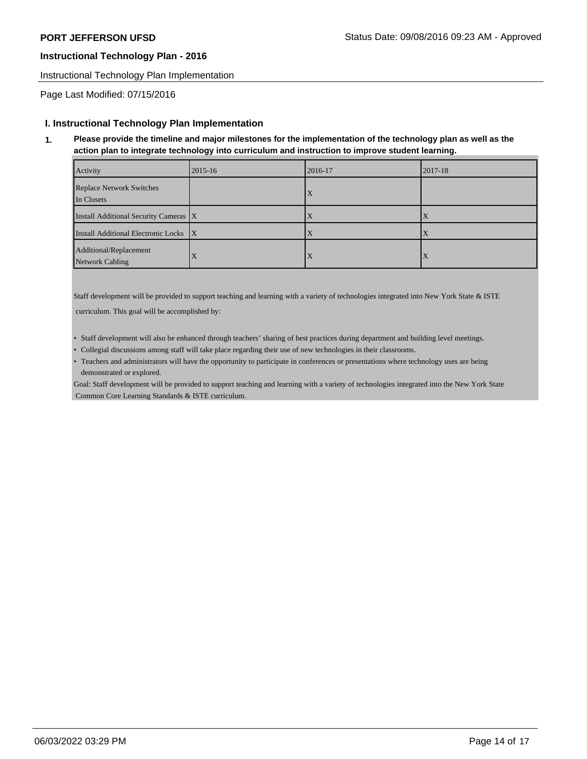Instructional Technology Plan Implementation

Page Last Modified: 07/15/2016

## **I. Instructional Technology Plan Implementation**

**1. Please provide the timeline and major milestones for the implementation of the technology plan as well as the action plan to integrate technology into curriculum and instruction to improve student learning.**

| Activity                                  | 2015-16 | 2016-17 | 2017-18   |
|-------------------------------------------|---------|---------|-----------|
| Replace Network Switches<br>In Closets    |         | Δ       |           |
| Install Additional Security Cameras   X   |         |         |           |
| Install Additional Electronic Locks X     |         |         |           |
| Additional/Replacement<br>Network Cabling |         | Δ       | $\lambda$ |

Staff development will be provided to support teaching and learning with a variety of technologies integrated into New York State & ISTE curriculum. This goal will be accomplished by:

- Staff development will also be enhanced through teachers' sharing of best practices during department and building level meetings.
- Collegial discussions among staff will take place regarding their use of new technologies in their classrooms.
- Teachers and administrators will have the opportunity to participate in conferences or presentations where technology uses are being demonstrated or explored.

Goal: Staff development will be provided to support teaching and learning with a variety of technologies integrated into the New York State Common Core Learning Standards & ISTE curriculum.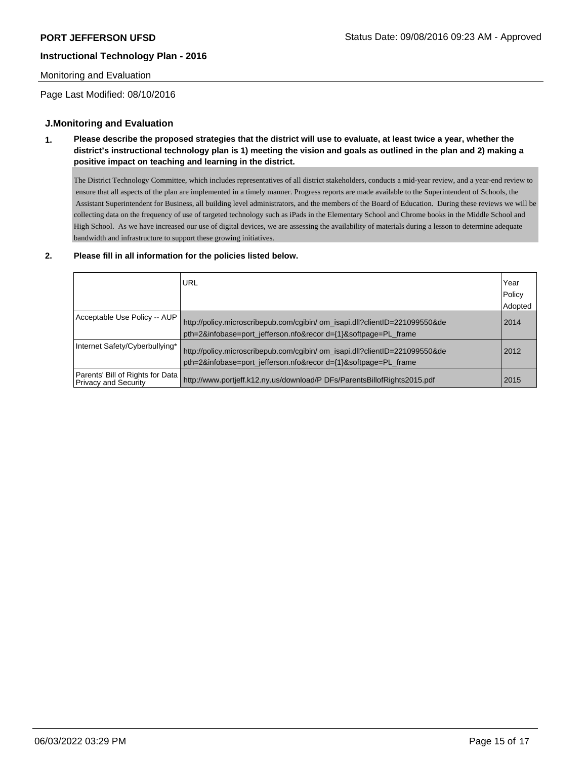## Monitoring and Evaluation

Page Last Modified: 08/10/2016

## **J.Monitoring and Evaluation**

**1. Please describe the proposed strategies that the district will use to evaluate, at least twice a year, whether the district's instructional technology plan is 1) meeting the vision and goals as outlined in the plan and 2) making a positive impact on teaching and learning in the district.**

The District Technology Committee, which includes representatives of all district stakeholders, conducts a mid-year review, and a year-end review to ensure that all aspects of the plan are implemented in a timely manner. Progress reports are made available to the Superintendent of Schools, the Assistant Superintendent for Business, all building level administrators, and the members of the Board of Education. During these reviews we will be collecting data on the frequency of use of targeted technology such as iPads in the Elementary School and Chrome books in the Middle School and High School. As we have increased our use of digital devices, we are assessing the availability of materials during a lesson to determine adequate bandwidth and infrastructure to support these growing initiatives.

#### **2. Please fill in all information for the policies listed below.**

|                                                                   | URL                                                                                                                                            | Year<br>Policy<br>Adopted |
|-------------------------------------------------------------------|------------------------------------------------------------------------------------------------------------------------------------------------|---------------------------|
| Acceptable Use Policy -- AUP                                      | http://policy.microscribepub.com/cqibin/ om isapi.dll?clientID=221099550&de<br>pth=2&infobase=port jefferson.nfo&recor d={1}&softpage=PL frame | 2014                      |
| Internet Safety/Cyberbullying*                                    | http://policy.microscribepub.com/cgibin/ om_isapi.dll?clientID=221099550&de<br>pth=2&infobase=port_jefferson.nfo&recor d={1}&softpage=PL_frame | 2012                      |
| Parents' Bill of Rights for Data  <br><b>Privacy and Security</b> | http://www.portjeff.k12.ny.us/download/P DFs/ParentsBillofRights2015.pdf                                                                       | 2015                      |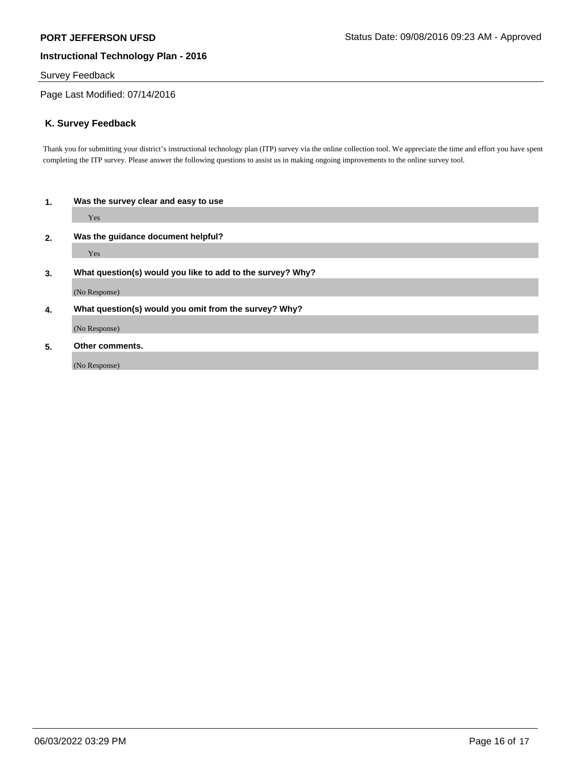## Survey Feedback

Page Last Modified: 07/14/2016

## **K. Survey Feedback**

Thank you for submitting your district's instructional technology plan (ITP) survey via the online collection tool. We appreciate the time and effort you have spent completing the ITP survey. Please answer the following questions to assist us in making ongoing improvements to the online survey tool.

| 1. | Was the survey clear and easy to use                       |  |  |
|----|------------------------------------------------------------|--|--|
|    | Yes                                                        |  |  |
| 2. | Was the guidance document helpful?                         |  |  |
|    | Yes                                                        |  |  |
| 3. | What question(s) would you like to add to the survey? Why? |  |  |
|    | (No Response)                                              |  |  |
| 4. | What question(s) would you omit from the survey? Why?      |  |  |
|    | (No Response)                                              |  |  |
| 5. | Other comments.                                            |  |  |
|    | (No Response)                                              |  |  |